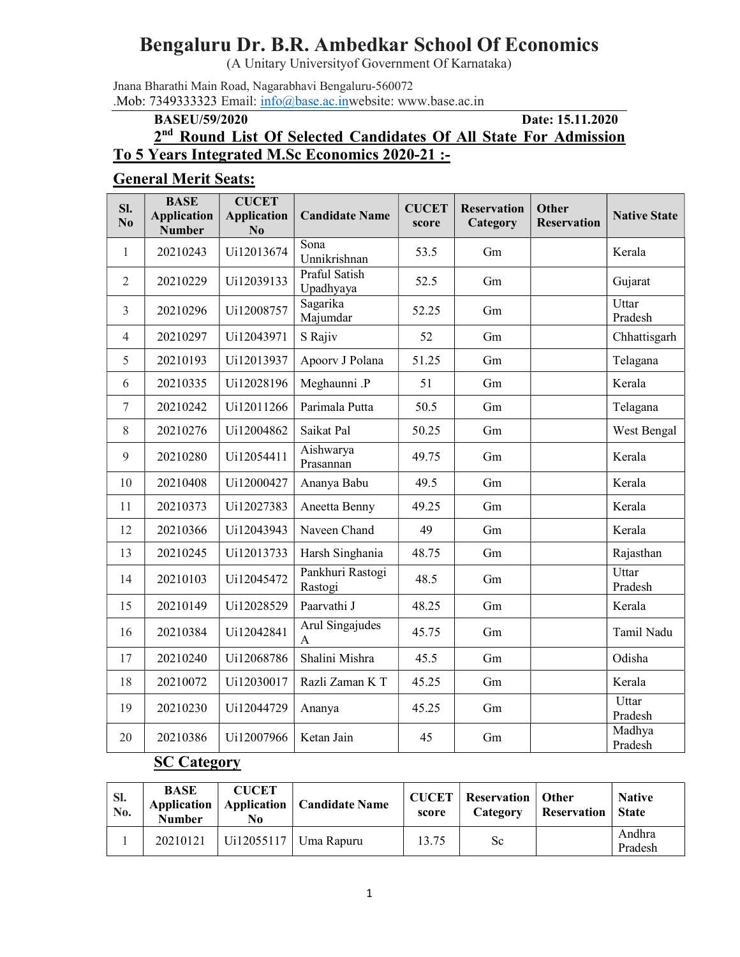# Bengaluru Dr. B.R. Ambedkar School Of Economics

(A Unitary Universityof Government Of Karnataka)

Jnana Bharathi Main Road, Nagarabhavi Bengaluru-560072 .Mob: 7349333323 Email: info@base.ac.inwebsite: www.base.ac.in

#### BASEU/59/2020 Date: 15.11.2020

# 2<sup>nd</sup> Round List Of Selected Candidates Of All State For Admission

## To 5 Years Integrated M.Sc Economics 2020-21 :-

#### General Merit Seats:

| SI.<br>N <sub>0</sub> | <b>BASE</b><br><b>Application</b><br><b>Number</b> | <b>CUCET</b><br><b>Application</b><br>N <sub>0</sub> | <b>Candidate Name</b>       | <b>CUCET</b><br>score | <b>Reservation</b><br>Category | <b>Other</b><br><b>Reservation</b> | <b>Native State</b> |
|-----------------------|----------------------------------------------------|------------------------------------------------------|-----------------------------|-----------------------|--------------------------------|------------------------------------|---------------------|
| $\mathbf{1}$          | 20210243                                           | Ui12013674                                           | Sona<br>Unnikrishnan        | 53.5                  | Gm                             |                                    | Kerala              |
| $\overline{2}$        | 20210229                                           | Ui12039133                                           | Praful Satish<br>Upadhyaya  | 52.5                  | Gm                             |                                    | Gujarat             |
| 3                     | 20210296                                           | Ui12008757                                           | Sagarika<br>Majumdar        | 52.25                 | Gm                             |                                    | Uttar<br>Pradesh    |
| $\overline{4}$        | 20210297                                           | Ui12043971                                           | S Rajiv                     | 52                    | Gm                             |                                    | Chhattisgarh        |
| 5                     | 20210193                                           | Ui12013937                                           | Apoorv J Polana             | 51.25                 | Gm                             |                                    | Telagana            |
| 6                     | 20210335                                           | Ui12028196                                           | Meghaunni .P                | 51                    | Gm                             |                                    | Kerala              |
| $\tau$                | 20210242                                           | Ui12011266                                           | Parimala Putta              | 50.5                  | Gm                             |                                    | Telagana            |
| 8                     | 20210276                                           | Ui12004862                                           | Saikat Pal                  | 50.25                 | Gm                             |                                    | West Bengal         |
| 9                     | 20210280                                           | Ui12054411                                           | Aishwarya<br>Prasannan      | 49.75                 | Gm                             |                                    | Kerala              |
| 10                    | 20210408                                           | Ui12000427                                           | Ananya Babu                 | 49.5                  | Gm                             |                                    | Kerala              |
| 11                    | 20210373                                           | Ui12027383                                           | Aneetta Benny               | 49.25                 | Gm                             |                                    | Kerala              |
| 12                    | 20210366                                           | Ui12043943                                           | Naveen Chand                | 49                    | Gm                             |                                    | Kerala              |
| 13                    | 20210245                                           | Ui12013733                                           | Harsh Singhania             | 48.75                 | Gm                             |                                    | Rajasthan           |
| 14                    | 20210103                                           | Ui12045472                                           | Pankhuri Rastogi<br>Rastogi | 48.5                  | Gm                             |                                    | Uttar<br>Pradesh    |
| 15                    | 20210149                                           | Ui12028529                                           | Paarvathi J                 | 48.25                 | Gm                             |                                    | Kerala              |
| 16                    | 20210384                                           | Ui12042841                                           | Arul Singajudes<br>A        | 45.75                 | Gm                             |                                    | Tamil Nadu          |
| 17                    | 20210240                                           | Ui12068786                                           | Shalini Mishra              | 45.5                  | Gm                             |                                    | Odisha              |
| 18                    | 20210072                                           | Ui12030017                                           | Razli Zaman K T             | 45.25                 | Gm                             |                                    | Kerala              |
| 19                    | 20210230                                           | Ui12044729                                           | Ananya                      | 45.25                 | Gm                             |                                    | Uttar<br>Pradesh    |
| 20                    | 20210386                                           | Ui12007966                                           | Ketan Jain                  | 45                    | Gm                             |                                    | Madhya<br>Pradesh   |

#### **SC Category**

| Sl.<br>No. | <b>BASE</b><br>Application<br><b>Number</b> | <b>CUCET</b><br>No | <b>Application   Candidate Name</b> | <b>CUCET</b><br>score | <b>Reservation</b>   Other<br>Category | Reservation | <b>Native</b><br><b>State</b> |
|------------|---------------------------------------------|--------------------|-------------------------------------|-----------------------|----------------------------------------|-------------|-------------------------------|
|            | 20210121                                    |                    | Ui12055117   Uma Rapuru             | 13.75                 | Sc                                     |             | Andhra<br>Pradesh             |